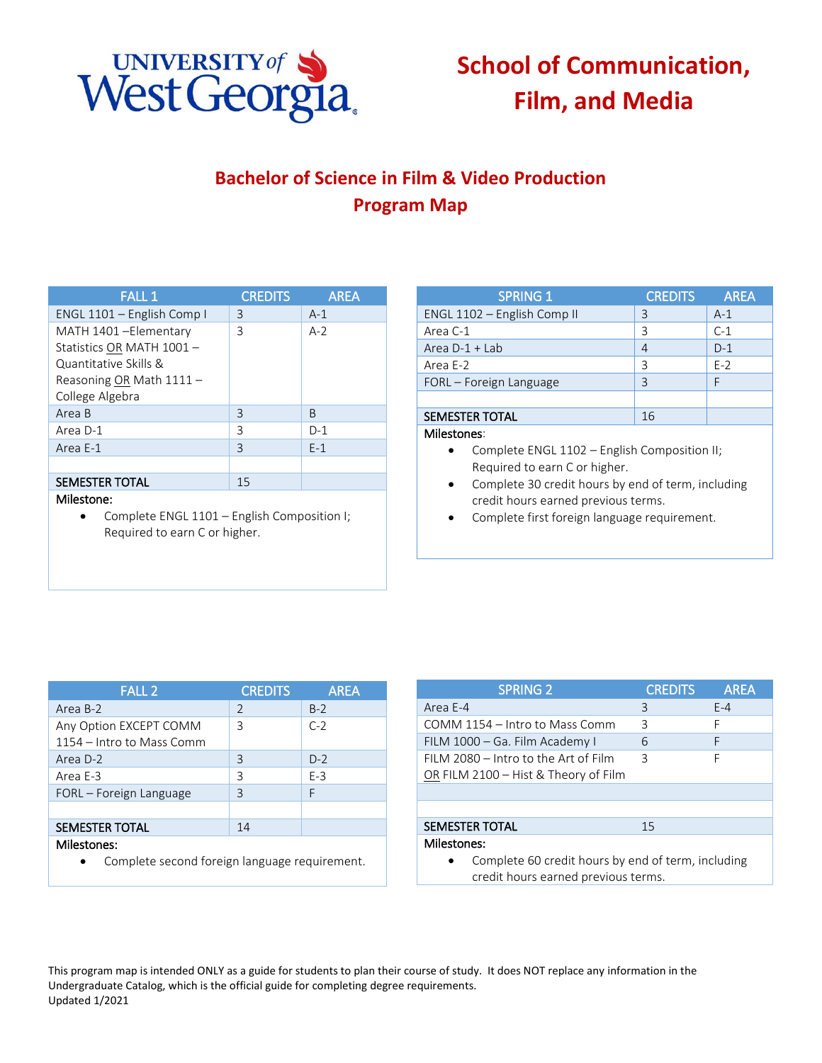

## **School of Communication, Film, and Media**

## **Bachelor of Science in Film & Video Production Program Map**

| <b>FALL 1</b>              | <b>CREDITS</b> | <b>AREA</b> |
|----------------------------|----------------|-------------|
| ENGL 1101 - English Comp I | 3              | $A-1$       |
| MATH 1401-Elementary       | 3              | $A-2$       |
| Statistics OR MATH 1001 -  |                |             |
| Quantitative Skills &      |                |             |
| Reasoning OR Math 1111 -   |                |             |
| College Algebra            |                |             |
| Area B                     | 3              | B           |
| Area D-1                   | 3              | $D-1$       |
| Area E-1                   | 3              | $F-1$       |
|                            |                |             |
| <b>SEMESTER TOTAL</b>      | 15             |             |

## Milestone:

• Complete ENGL 1101 – English Composition I; Required to earn C or higher.

| <b>SPRING 1</b>             | <b>CREDITS</b> | <b>AREA</b> |
|-----------------------------|----------------|-------------|
| ENGL 1102 - English Comp II | 3              | $A-1$       |
| Area C-1                    | ς              | $C-1$       |
| Area $D-1$ + Lab            |                | $D-1$       |
| Area E-2                    | ς              | $E-2$       |
| FORL - Foreign Language     | ς              |             |
|                             |                |             |
| <b>SEMESTER TOTAL</b>       | 16             |             |

## Milestones:

- Complete ENGL 1102 English Composition II; Required to earn C or higher.
- Complete 30 credit hours by end of term, including credit hours earned previous terms.
- Complete first foreign language requirement.

| <b>FALL 2</b>             | <b>CREDITS</b> | <b>AREA</b> |
|---------------------------|----------------|-------------|
| Area B-2                  | $\mathcal{L}$  | $B-2$       |
| Any Option EXCEPT COMM    | 3              | $C-2$       |
| 1154 – Intro to Mass Comm |                |             |
| Area D-2                  | 3              | $D-2$       |
| Area E-3                  | 3              | $E-3$       |
| FORL – Foreign Language   | 3              | F           |
|                           |                |             |
| <b>SEMESTER TOTAL</b>     | 14             |             |
| Milestones:               |                |             |

Complete second foreign language requirement.

| <b>SPRING 2</b>                                    | <b>CREDITS</b> | <b>AREA</b> |
|----------------------------------------------------|----------------|-------------|
| Area E-4                                           | 3              | $E-4$       |
| COMM 1154 – Intro to Mass Comm                     | 3              | F           |
| FILM 1000 – Ga. Film Academy I                     | 6              | F           |
| FILM 2080 - Intro to the Art of Film               | 3              | F           |
| OR FILM 2100 – Hist & Theory of Film               |                |             |
|                                                    |                |             |
|                                                    |                |             |
| <b>SEMESTER TOTAL</b>                              | 15             |             |
| Milestones:                                        |                |             |
| Complete 60 credit hours by end of term, including |                |             |

credit hours earned previous terms.

This program map is intended ONLY as a guide for students to plan their course of study. It does NOT replace any information in the Undergraduate Catalog, which is the official guide for completing degree requirements. Updated 1/2021